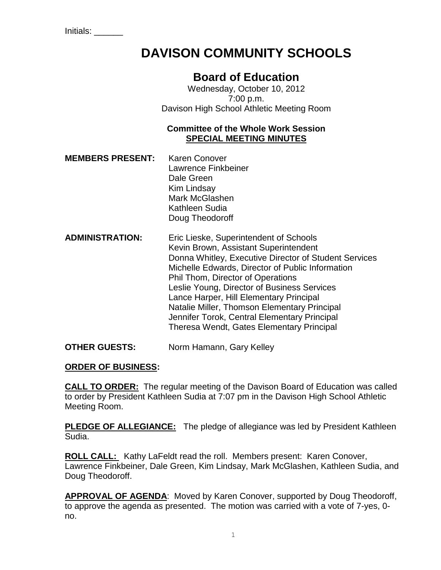Initials: \_\_\_\_\_\_

# **DAVISON COMMUNITY SCHOOLS**

# **Board of Education**

Wednesday, October 10, 2012 7:00 p.m. Davison High School Athletic Meeting Room

# **Committee of the Whole Work Session SPECIAL MEETING MINUTES**

- **MEMBERS PRESENT:** Karen Conover Lawrence Finkbeiner Dale Green Kim Lindsay Mark McGlashen Kathleen Sudia Doug Theodoroff
- **ADMINISTRATION:** Eric Lieske, Superintendent of Schools Kevin Brown, Assistant Superintendent Donna Whitley, Executive Director of Student Services Michelle Edwards, Director of Public Information Phil Thom, Director of Operations Leslie Young, Director of Business Services Lance Harper, Hill Elementary Principal Natalie Miller, Thomson Elementary Principal Jennifer Torok, Central Elementary Principal Theresa Wendt, Gates Elementary Principal

**OTHER GUESTS:** Norm Hamann, Gary Kelley

# **ORDER OF BUSINESS:**

**CALL TO ORDER:** The regular meeting of the Davison Board of Education was called to order by President Kathleen Sudia at 7:07 pm in the Davison High School Athletic Meeting Room.

**PLEDGE OF ALLEGIANCE:** The pledge of allegiance was led by President Kathleen Sudia.

**ROLL CALL:** Kathy LaFeldt read the roll. Members present: Karen Conover, Lawrence Finkbeiner, Dale Green, Kim Lindsay, Mark McGlashen, Kathleen Sudia, and Doug Theodoroff.

**APPROVAL OF AGENDA**: Moved by Karen Conover, supported by Doug Theodoroff, to approve the agenda as presented. The motion was carried with a vote of 7-yes, 0 no.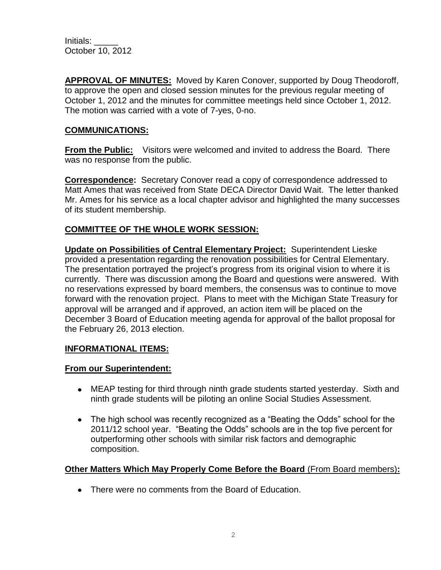Initials: \_\_\_\_\_ October 10, 2012

**APPROVAL OF MINUTES:** Moved by Karen Conover, supported by Doug Theodoroff, to approve the open and closed session minutes for the previous regular meeting of October 1, 2012 and the minutes for committee meetings held since October 1, 2012. The motion was carried with a vote of 7-yes, 0-no.

## **COMMUNICATIONS:**

**From the Public:** Visitors were welcomed and invited to address the Board. There was no response from the public.

**Correspondence:** Secretary Conover read a copy of correspondence addressed to Matt Ames that was received from State DECA Director David Wait. The letter thanked Mr. Ames for his service as a local chapter advisor and highlighted the many successes of its student membership.

#### **COMMITTEE OF THE WHOLE WORK SESSION:**

**Update on Possibilities of Central Elementary Project:** Superintendent Lieske provided a presentation regarding the renovation possibilities for Central Elementary. The presentation portrayed the project's progress from its original vision to where it is currently. There was discussion among the Board and questions were answered. With no reservations expressed by board members, the consensus was to continue to move forward with the renovation project. Plans to meet with the Michigan State Treasury for approval will be arranged and if approved, an action item will be placed on the December 3 Board of Education meeting agenda for approval of the ballot proposal for the February 26, 2013 election.

#### **INFORMATIONAL ITEMS:**

#### **From our Superintendent:**

- MEAP testing for third through ninth grade students started yesterday. Sixth and ninth grade students will be piloting an online Social Studies Assessment.
- The high school was recently recognized as a "Beating the Odds" school for the 2011/12 school year. "Beating the Odds" schools are in the top five percent for outperforming other schools with similar risk factors and demographic composition.

#### **Other Matters Which May Properly Come Before the Board** (From Board members)**:**

• There were no comments from the Board of Education.